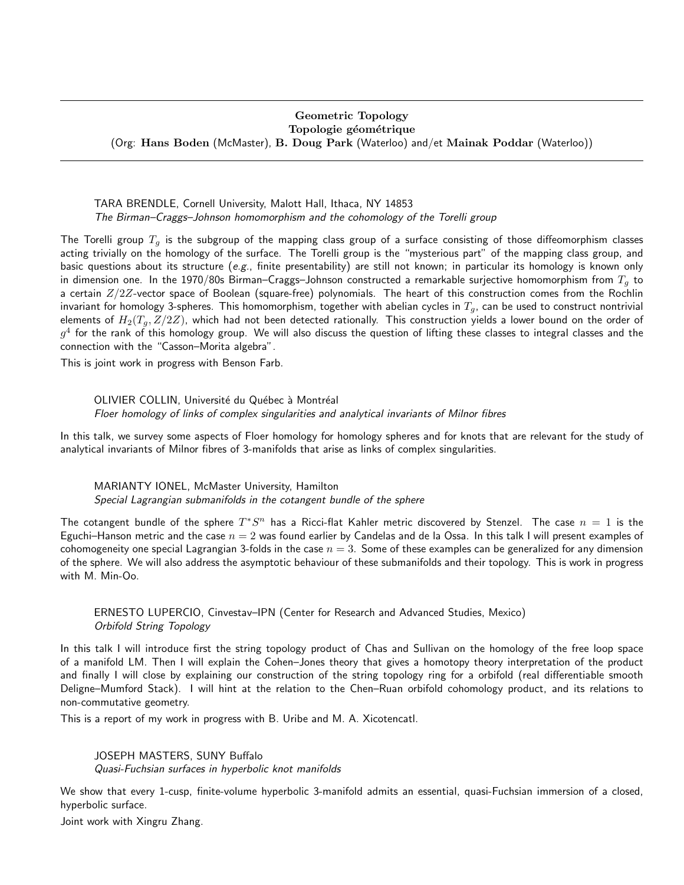## Geometric Topology Topologie géométrique (Org: Hans Boden (McMaster), B. Doug Park (Waterloo) and/et Mainak Poddar (Waterloo))

TARA BRENDLE, Cornell University, Malott Hall, Ithaca, NY 14853 The Birman–Craggs–Johnson homomorphism and the cohomology of the Torelli group

The Torelli group  $T_q$  is the subgroup of the mapping class group of a surface consisting of those diffeomorphism classes acting trivially on the homology of the surface. The Torelli group is the "mysterious part" of the mapping class group, and basic questions about its structure (e.g., finite presentability) are still not known; in particular its homology is known only in dimension one. In the 1970/80s Birman–Craggs–Johnson constructed a remarkable surjective homomorphism from  $T<sub>g</sub>$  to a certain  $Z/2Z$ -vector space of Boolean (square-free) polynomials. The heart of this construction comes from the Rochlin invariant for homology 3-spheres. This homomorphism, together with abelian cycles in  $T_q$ , can be used to construct nontrivial elements of  $H_2(T_q, Z/2Z)$ , which had not been detected rationally. This construction yields a lower bound on the order of  $g^4$  for the rank of this homology group. We will also discuss the question of lifting these classes to integral classes and the connection with the "Casson–Morita algebra".

This is joint work in progress with Benson Farb.

OLIVIER COLLIN, Université du Québec à Montréal Floer homology of links of complex singularities and analytical invariants of Milnor fibres

In this talk, we survey some aspects of Floer homology for homology spheres and for knots that are relevant for the study of analytical invariants of Milnor fibres of 3-manifolds that arise as links of complex singularities.

MARIANTY IONEL, McMaster University, Hamilton Special Lagrangian submanifolds in the cotangent bundle of the sphere

The cotangent bundle of the sphere  $T^*S^n$  has a Ricci-flat Kahler metric discovered by Stenzel. The case  $n = 1$  is the Eguchi–Hanson metric and the case  $n = 2$  was found earlier by Candelas and de la Ossa. In this talk I will present examples of cohomogeneity one special Lagrangian 3-folds in the case  $n = 3$ . Some of these examples can be generalized for any dimension of the sphere. We will also address the asymptotic behaviour of these submanifolds and their topology. This is work in progress with M. Min-Oo.

ERNESTO LUPERCIO, Cinvestav–IPN (Center for Research and Advanced Studies, Mexico) Orbifold String Topology

In this talk I will introduce first the string topology product of Chas and Sullivan on the homology of the free loop space of a manifold LM. Then I will explain the Cohen–Jones theory that gives a homotopy theory interpretation of the product and finally I will close by explaining our construction of the string topology ring for a orbifold (real differentiable smooth Deligne–Mumford Stack). I will hint at the relation to the Chen–Ruan orbifold cohomology product, and its relations to non-commutative geometry.

This is a report of my work in progress with B. Uribe and M. A. Xicotencatl.

JOSEPH MASTERS, SUNY Buffalo Quasi-Fuchsian surfaces in hyperbolic knot manifolds

We show that every 1-cusp, finite-volume hyperbolic 3-manifold admits an essential, quasi-Fuchsian immersion of a closed, hyperbolic surface.

Joint work with Xingru Zhang.